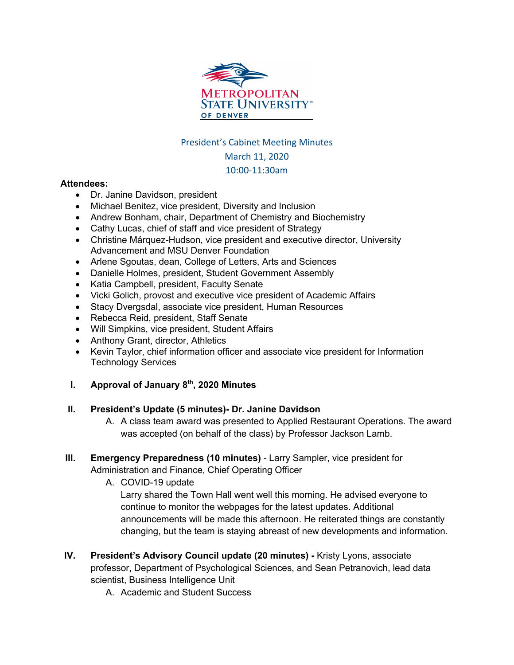

### President's Cabinet Meeting Minutes

## March 11, 2020

## 10:00-11:30am

#### **Attendees:**

- Dr. Janine Davidson, president
- Michael Benitez, vice president, Diversity and Inclusion
- Andrew Bonham, chair, Department of Chemistry and Biochemistry
- Cathy Lucas, chief of staff and vice president of Strategy
- Christine Márquez-Hudson, vice president and executive director, University Advancement and MSU Denver Foundation
- Arlene Sgoutas, dean, College of Letters, Arts and Sciences
- Danielle Holmes, president, Student Government Assembly
- Katia Campbell, president, Faculty Senate
- Vicki Golich, provost and executive vice president of Academic Affairs
- Stacy Dvergsdal, associate vice president, Human Resources
- Rebecca Reid, president, Staff Senate
- Will Simpkins, vice president, Student Affairs
- Anthony Grant, director, Athletics
- Kevin Taylor, chief information officer and associate vice president for Information Technology Services
- **I. Approval of January 8th, 2020 Minutes**

## **II. President's Update (5 minutes)- Dr. Janine Davidson**

- A. A class team award was presented to Applied Restaurant Operations. The award was accepted (on behalf of the class) by Professor Jackson Lamb.
- **III. Emergency Preparedness (10 minutes)** Larry Sampler, vice president for Administration and Finance, Chief Operating Officer

A. COVID-19 update

Larry shared the Town Hall went well this morning. He advised everyone to continue to monitor the webpages for the latest updates. Additional announcements will be made this afternoon. He reiterated things are constantly changing, but the team is staying abreast of new developments and information.

- **IV. President's Advisory Council update (20 minutes) -** Kristy Lyons, associate professor, Department of Psychological Sciences, and Sean Petranovich, lead data scientist, Business Intelligence Unit
	- A. Academic and Student Success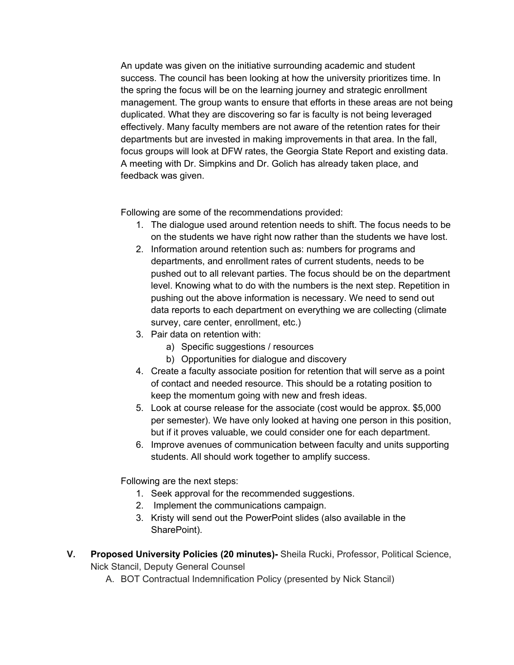An update was given on the initiative surrounding academic and student success. The council has been looking at how the university prioritizes time. In the spring the focus will be on the learning journey and strategic enrollment management. The group wants to ensure that efforts in these areas are not being duplicated. What they are discovering so far is faculty is not being leveraged effectively. Many faculty members are not aware of the retention rates for their departments but are invested in making improvements in that area. In the fall, focus groups will look at DFW rates, the Georgia State Report and existing data. A meeting with Dr. Simpkins and Dr. Golich has already taken place, and feedback was given.

Following are some of the recommendations provided:

- 1. The dialogue used around retention needs to shift. The focus needs to be on the students we have right now rather than the students we have lost.
- 2. Information around retention such as: numbers for programs and departments, and enrollment rates of current students, needs to be pushed out to all relevant parties. The focus should be on the department level. Knowing what to do with the numbers is the next step. Repetition in pushing out the above information is necessary. We need to send out data reports to each department on everything we are collecting (climate survey, care center, enrollment, etc.)
- 3. Pair data on retention with:
	- a) Specific suggestions / resources
	- b) Opportunities for dialogue and discovery
- 4. Create a faculty associate position for retention that will serve as a point of contact and needed resource. This should be a rotating position to keep the momentum going with new and fresh ideas.
- 5. Look at course release for the associate (cost would be approx. \$5,000 per semester). We have only looked at having one person in this position, but if it proves valuable, we could consider one for each department.
- 6. Improve avenues of communication between faculty and units supporting students. All should work together to amplify success.

Following are the next steps:

- 1. Seek approval for the recommended suggestions.
- 2. Implement the communications campaign.
- 3. Kristy will send out the PowerPoint slides (also available in the SharePoint).
- **V. Proposed University Policies (20 minutes)-** Sheila Rucki, Professor, Political Science, Nick Stancil, Deputy General Counsel
	- A. BOT Contractual Indemnification Policy (presented by Nick Stancil)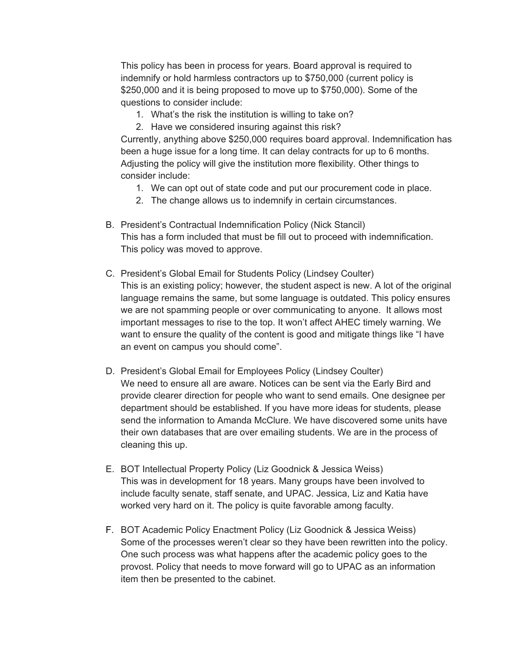This policy has been in process for years. Board approval is required to indemnify or hold harmless contractors up to \$750,000 (current policy is \$250,000 and it is being proposed to move up to \$750,000). Some of the questions to consider include:

- 1. What's the risk the institution is willing to take on?
- 2. Have we considered insuring against this risk?

Currently, anything above \$250,000 requires board approval. Indemnification has been a huge issue for a long time. It can delay contracts for up to 6 months. Adjusting the policy will give the institution more flexibility. Other things to consider include:

- 1. We can opt out of state code and put our procurement code in place.
- 2. The change allows us to indemnify in certain circumstances.
- B. President's Contractual Indemnification Policy (Nick Stancil) This has a form included that must be fill out to proceed with indemnification. This policy was moved to approve.
- C. President's Global Email for Students Policy (Lindsey Coulter) This is an existing policy; however, the student aspect is new. A lot of the original language remains the same, but some language is outdated. This policy ensures we are not spamming people or over communicating to anyone. It allows most important messages to rise to the top. It won't affect AHEC timely warning. We want to ensure the quality of the content is good and mitigate things like "I have an event on campus you should come".
- D. President's Global Email for Employees Policy (Lindsey Coulter) We need to ensure all are aware. Notices can be sent via the Early Bird and provide clearer direction for people who want to send emails. One designee per department should be established. If you have more ideas for students, please send the information to Amanda McClure. We have discovered some units have their own databases that are over emailing students. We are in the process of cleaning this up.
- E. BOT Intellectual Property Policy (Liz Goodnick & Jessica Weiss) This was in development for 18 years. Many groups have been involved to include faculty senate, staff senate, and UPAC. Jessica, Liz and Katia have worked very hard on it. The policy is quite favorable among faculty.
- F. BOT Academic Policy Enactment Policy (Liz Goodnick & Jessica Weiss) Some of the processes weren't clear so they have been rewritten into the policy. One such process was what happens after the academic policy goes to the provost. Policy that needs to move forward will go to UPAC as an information item then be presented to the cabinet.